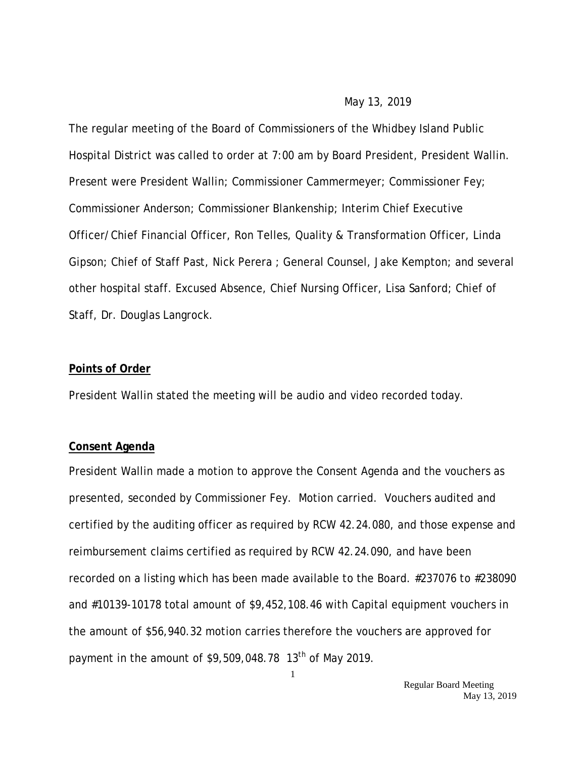#### May 13, 2019

The regular meeting of the Board of Commissioners of the Whidbey Island Public Hospital District was called to order at 7:00 am by Board President, President Wallin. Present were President Wallin; Commissioner Cammermeyer; Commissioner Fey; Commissioner Anderson; Commissioner Blankenship; Interim Chief Executive Officer/Chief Financial Officer, Ron Telles, Quality & Transformation Officer, Linda Gipson; Chief of Staff Past, Nick Perera ; General Counsel, Jake Kempton; and several other hospital staff. Excused Absence, Chief Nursing Officer, Lisa Sanford; Chief of Staff, Dr. Douglas Langrock.

#### **Points of Order**

President Wallin stated the meeting will be audio and video recorded today.

#### **Consent Agenda**

President Wallin made a motion to approve the Consent Agenda and the vouchers as presented, seconded by Commissioner Fey. Motion carried. Vouchers audited and certified by the auditing officer as required by RCW 42.24.080, and those expense and reimbursement claims certified as required by RCW 42.24.090, and have been recorded on a listing which has been made available to the Board. #237076 to #238090 and #10139-10178 total amount of \$9,452,108.46 with Capital equipment vouchers in the amount of \$56,940.32 motion carries therefore the vouchers are approved for payment in the amount of  $$9,509,048.78$  13<sup>th</sup> of May 2019.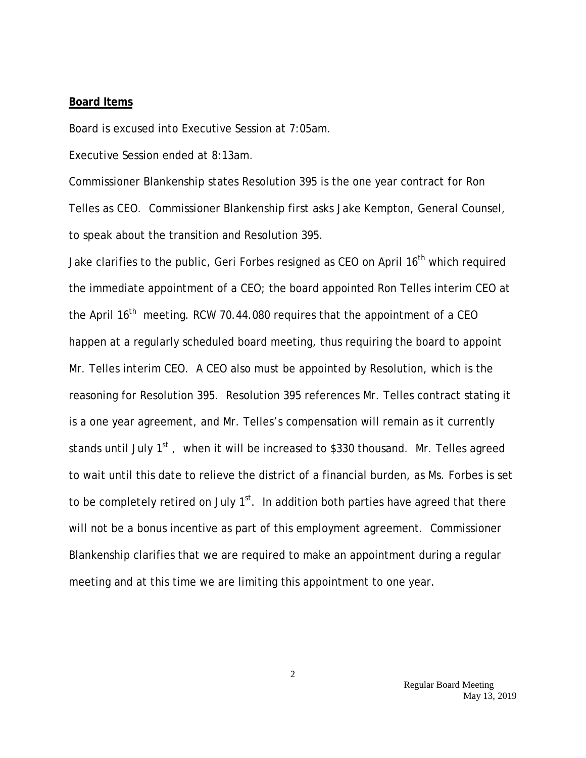#### **Board Items**

Board is excused into Executive Session at 7:05am.

Executive Session ended at 8:13am.

Commissioner Blankenship states Resolution 395 is the one year contract for Ron Telles as CEO. Commissioner Blankenship first asks Jake Kempton, General Counsel, to speak about the transition and Resolution 395.

Jake clarifies to the public, Geri Forbes resigned as CEO on April 16<sup>th</sup> which required the immediate appointment of a CEO; the board appointed Ron Telles interim CEO at the April  $16<sup>th</sup>$  meeting. RCW 70.44.080 requires that the appointment of a CEO happen at a regularly scheduled board meeting, thus requiring the board to appoint Mr. Telles interim CEO. A CEO also must be appointed by Resolution, which is the reasoning for Resolution 395. Resolution 395 references Mr. Telles contract stating it is a one year agreement, and Mr. Telles's compensation will remain as it currently stands until July  $1<sup>st</sup>$ , when it will be increased to \$330 thousand. Mr. Telles agreed to wait until this date to relieve the district of a financial burden, as Ms. Forbes is set to be completely retired on July  $1<sup>st</sup>$ . In addition both parties have agreed that there will not be a bonus incentive as part of this employment agreement. Commissioner Blankenship clarifies that we are required to make an appointment during a regular meeting and at this time we are limiting this appointment to one year.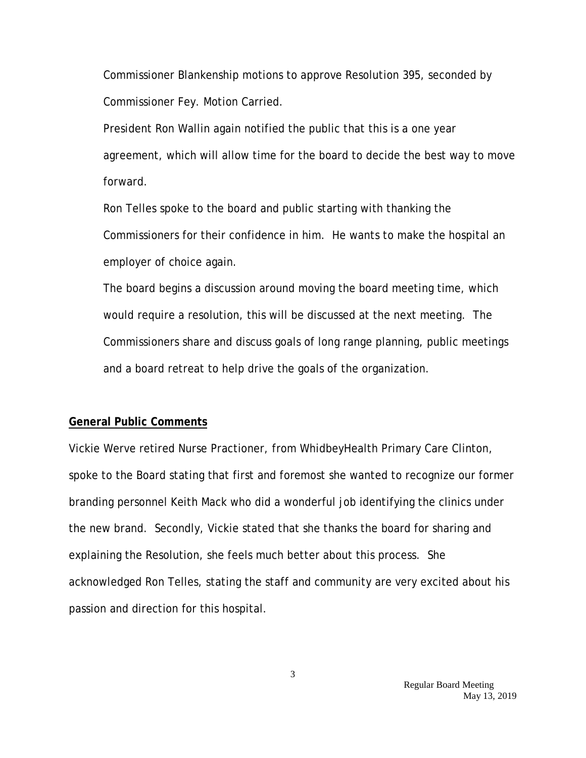Commissioner Blankenship motions to approve Resolution 395, seconded by Commissioner Fey. Motion Carried.

President Ron Wallin again notified the public that this is a one year agreement, which will allow time for the board to decide the best way to move forward.

Ron Telles spoke to the board and public starting with thanking the Commissioners for their confidence in him. He wants to make the hospital an employer of choice again.

The board begins a discussion around moving the board meeting time, which would require a resolution, this will be discussed at the next meeting. The Commissioners share and discuss goals of long range planning, public meetings and a board retreat to help drive the goals of the organization.

#### **General Public Comments**

Vickie Werve retired Nurse Practioner, from WhidbeyHealth Primary Care Clinton, spoke to the Board stating that first and foremost she wanted to recognize our former branding personnel Keith Mack who did a wonderful job identifying the clinics under the new brand. Secondly, Vickie stated that she thanks the board for sharing and explaining the Resolution, she feels much better about this process. She acknowledged Ron Telles, stating the staff and community are very excited about his passion and direction for this hospital.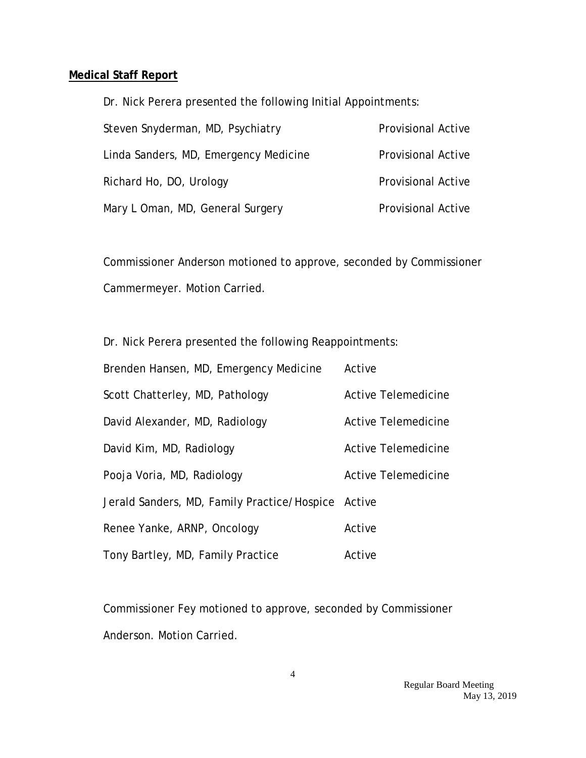### **Medical Staff Report**

Dr. Nick Perera presented the following Initial Appointments:

| Steven Snyderman, MD, Psychiatry      | <b>Provisional Active</b> |
|---------------------------------------|---------------------------|
| Linda Sanders, MD, Emergency Medicine | <b>Provisional Active</b> |
| Richard Ho, DO, Urology               | <b>Provisional Active</b> |
| Mary L Oman, MD, General Surgery      | <b>Provisional Active</b> |

Commissioner Anderson motioned to approve, seconded by Commissioner Cammermeyer. Motion Carried.

Dr. Nick Perera presented the following Reappointments:

| Brenden Hansen, MD, Emergency Medicine             | Active              |
|----------------------------------------------------|---------------------|
| Scott Chatterley, MD, Pathology                    | Active Telemedicine |
| David Alexander, MD, Radiology                     | Active Telemedicine |
| David Kim, MD, Radiology                           | Active Telemedicine |
| Pooja Voria, MD, Radiology                         | Active Telemedicine |
| Jerald Sanders, MD, Family Practice/Hospice Active |                     |
| Renee Yanke, ARNP, Oncology                        | Active              |
| Tony Bartley, MD, Family Practice                  | Active              |

Commissioner Fey motioned to approve, seconded by Commissioner Anderson. Motion Carried.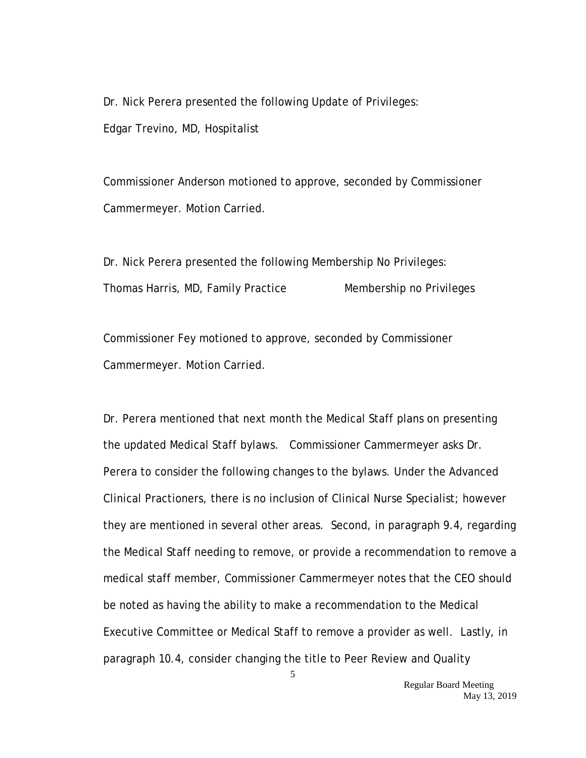Dr. Nick Perera presented the following Update of Privileges: Edgar Trevino, MD, Hospitalist

Commissioner Anderson motioned to approve, seconded by Commissioner Cammermeyer. Motion Carried.

Dr. Nick Perera presented the following Membership No Privileges: Thomas Harris, MD, Family Practice Membership no Privileges

Commissioner Fey motioned to approve, seconded by Commissioner Cammermeyer. Motion Carried.

Dr. Perera mentioned that next month the Medical Staff plans on presenting the updated Medical Staff bylaws. Commissioner Cammermeyer asks Dr. Perera to consider the following changes to the bylaws. Under the Advanced Clinical Practioners, there is no inclusion of Clinical Nurse Specialist; however they are mentioned in several other areas. Second, in paragraph 9.4, regarding the Medical Staff needing to remove, or provide a recommendation to remove a medical staff member, Commissioner Cammermeyer notes that the CEO should be noted as having the ability to make a recommendation to the Medical Executive Committee or Medical Staff to remove a provider as well. Lastly, in paragraph 10.4, consider changing the title to Peer Review and Quality

5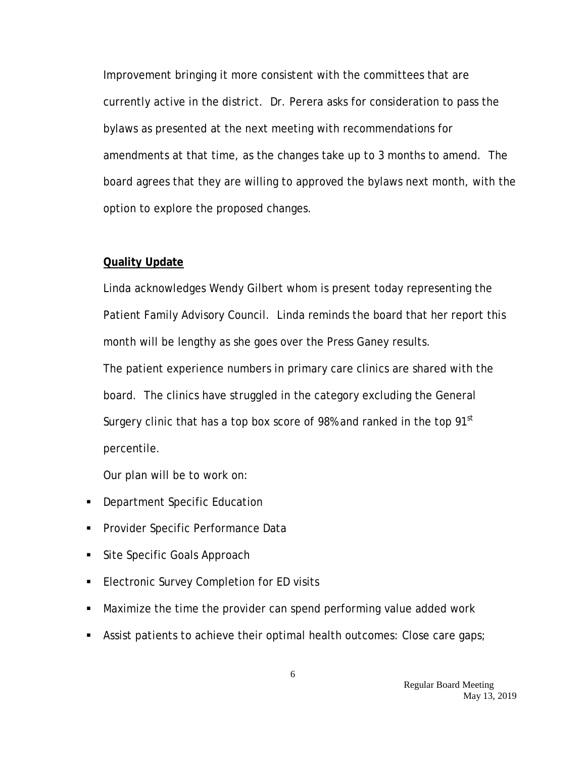Improvement bringing it more consistent with the committees that are currently active in the district. Dr. Perera asks for consideration to pass the bylaws as presented at the next meeting with recommendations for amendments at that time, as the changes take up to 3 months to amend. The board agrees that they are willing to approved the bylaws next month, with the option to explore the proposed changes.

#### **Quality Update**

Linda acknowledges Wendy Gilbert whom is present today representing the Patient Family Advisory Council. Linda reminds the board that her report this month will be lengthy as she goes over the Press Ganey results. The patient experience numbers in primary care clinics are shared with the board. The clinics have struggled in the category excluding the General Surgery clinic that has a top box score of 98% and ranked in the top  $91<sup>st</sup>$ percentile.

Our plan will be to work on:

- **Department Specific Education**
- **Provider Specific Performance Data**
- Site Specific Goals Approach
- **Electronic Survey Completion for ED visits**
- Maximize the time the provider can spend performing value added work
- **Assist patients to achieve their optimal health outcomes: Close care gaps;**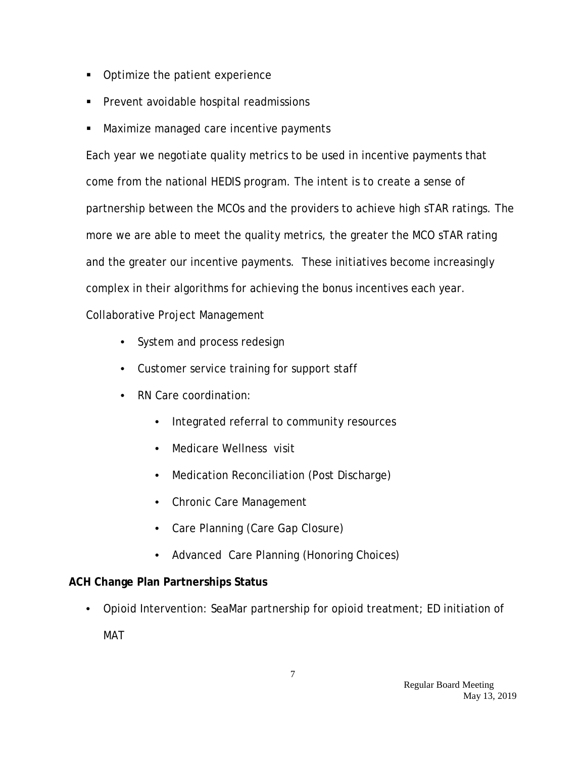- Optimize the patient experience
- **Prevent avoidable hospital readmissions**
- **Maximize managed care incentive payments**

Each year we negotiate quality metrics to be used in incentive payments that come from the national HEDIS program. The intent is to create a sense of partnership between the MCOs and the providers to achieve high sTAR ratings. The more we are able to meet the quality metrics, the greater the MCO sTAR rating and the greater our incentive payments. These initiatives become increasingly complex in their algorithms for achieving the bonus incentives each year.

Collaborative Project Management

- System and process redesign
- Customer service training for support staff
- RN Care coordination:
	- Integrated referral to community resources
	- Medicare Wellness visit
	- Medication Reconciliation (Post Discharge)
	- Chronic Care Management
	- Care Planning (Care Gap Closure)
	- Advanced Care Planning (Honoring Choices)

# **ACH Change Plan Partnerships Status**

• Opioid Intervention: SeaMar partnership for opioid treatment; ED initiation of

MAT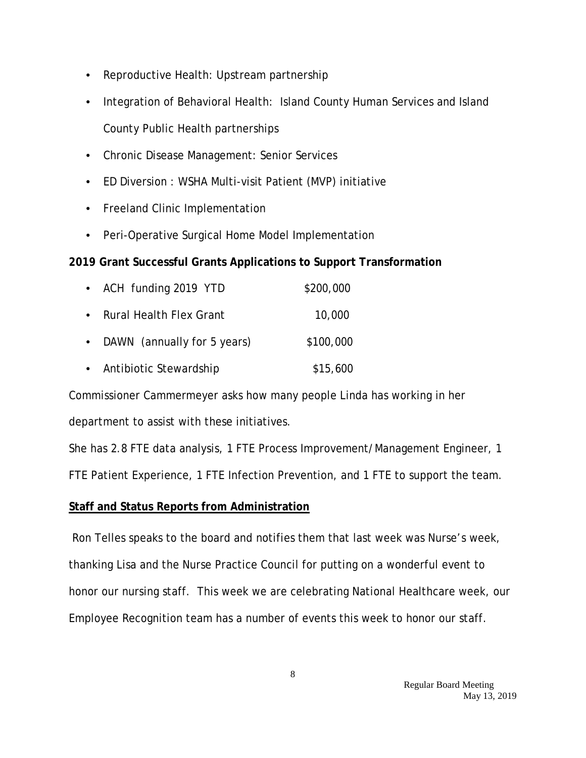- Reproductive Health: Upstream partnership
- Integration of Behavioral Health: Island County Human Services and Island County Public Health partnerships
- Chronic Disease Management: Senior Services
- ED Diversion : WSHA Multi-visit Patient (MVP) initiative
- Freeland Clinic Implementation
- Peri-Operative Surgical Home Model Implementation

# **2019 Grant Successful Grants Applications to Support Transformation**

|           | • ACH funding 2019 YTD         | \$200,000 |
|-----------|--------------------------------|-----------|
| $\bullet$ | <b>Rural Health Flex Grant</b> | 10,000    |
| $\bullet$ | DAWN (annually for 5 years)    | \$100,000 |
| $\bullet$ | Antibiotic Stewardship         | \$15,600  |

Commissioner Cammermeyer asks how many people Linda has working in her department to assist with these initiatives.

She has 2.8 FTE data analysis, 1 FTE Process Improvement/Management Engineer, 1 FTE Patient Experience, 1 FTE Infection Prevention, and 1 FTE to support the team.

# **Staff and Status Reports from Administration**

Ron Telles speaks to the board and notifies them that last week was Nurse's week, thanking Lisa and the Nurse Practice Council for putting on a wonderful event to honor our nursing staff. This week we are celebrating National Healthcare week, our Employee Recognition team has a number of events this week to honor our staff.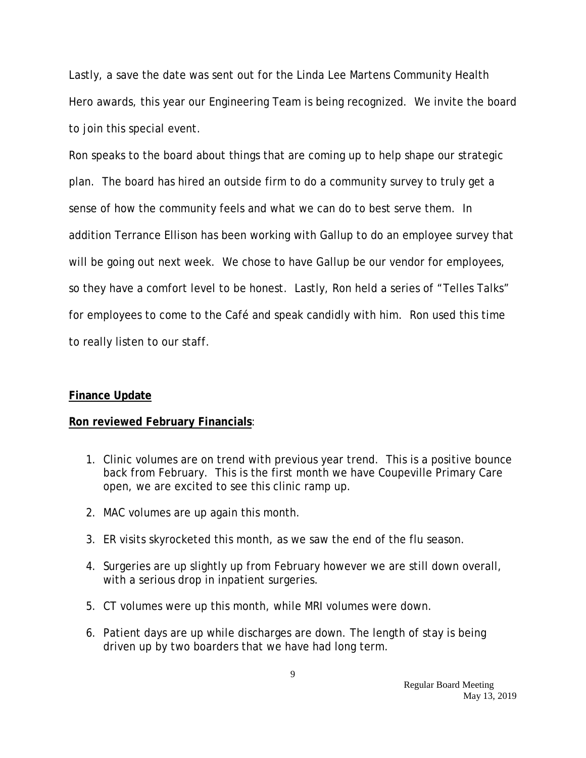Lastly, a save the date was sent out for the Linda Lee Martens Community Health Hero awards, this year our Engineering Team is being recognized. We invite the board to join this special event.

Ron speaks to the board about things that are coming up to help shape our strategic plan. The board has hired an outside firm to do a community survey to truly get a sense of how the community feels and what we can do to best serve them. In addition Terrance Ellison has been working with Gallup to do an employee survey that will be going out next week. We chose to have Gallup be our vendor for employees, so they have a comfort level to be honest. Lastly, Ron held a series of "Telles Talks" for employees to come to the Café and speak candidly with him. Ron used this time to really listen to our staff.

### **Finance Update**

### **Ron reviewed February Financials**:

- 1. Clinic volumes are on trend with previous year trend. This is a positive bounce back from February. This is the first month we have Coupeville Primary Care open, we are excited to see this clinic ramp up.
- 2. MAC volumes are up again this month.
- 3. ER visits skyrocketed this month, as we saw the end of the flu season.
- 4. Surgeries are up slightly up from February however we are still down overall, with a serious drop in inpatient surgeries.
- 5. CT volumes were up this month, while MRI volumes were down.
- 6. Patient days are up while discharges are down. The length of stay is being driven up by two boarders that we have had long term.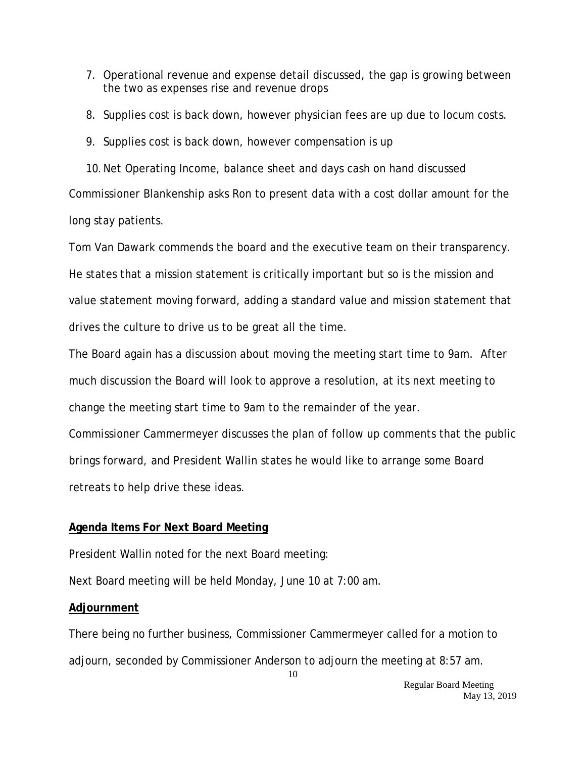- 7. Operational revenue and expense detail discussed, the gap is growing between the two as expenses rise and revenue drops
- 8. Supplies cost is back down, however physician fees are up due to locum costs.
- 9. Supplies cost is back down, however compensation is up

10.Net Operating Income, balance sheet and days cash on hand discussed Commissioner Blankenship asks Ron to present data with a cost dollar amount for the long stay patients.

Tom Van Dawark commends the board and the executive team on their transparency. He states that a mission statement is critically important but so is the mission and value statement moving forward, adding a standard value and mission statement that drives the culture to drive us to be great all the time.

The Board again has a discussion about moving the meeting start time to 9am. After much discussion the Board will look to approve a resolution, at its next meeting to change the meeting start time to 9am to the remainder of the year.

Commissioner Cammermeyer discusses the plan of follow up comments that the public brings forward, and President Wallin states he would like to arrange some Board retreats to help drive these ideas.

# **Agenda Items For Next Board Meeting**

President Wallin noted for the next Board meeting:

Next Board meeting will be held Monday, June 10 at 7:00 am.

# **Adjournment**

There being no further business, Commissioner Cammermeyer called for a motion to adjourn, seconded by Commissioner Anderson to adjourn the meeting at 8:57 am.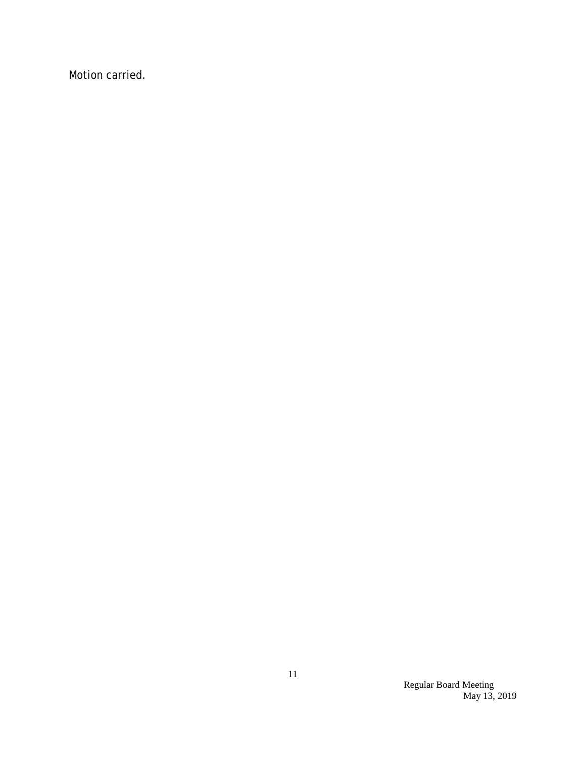Motion carried.